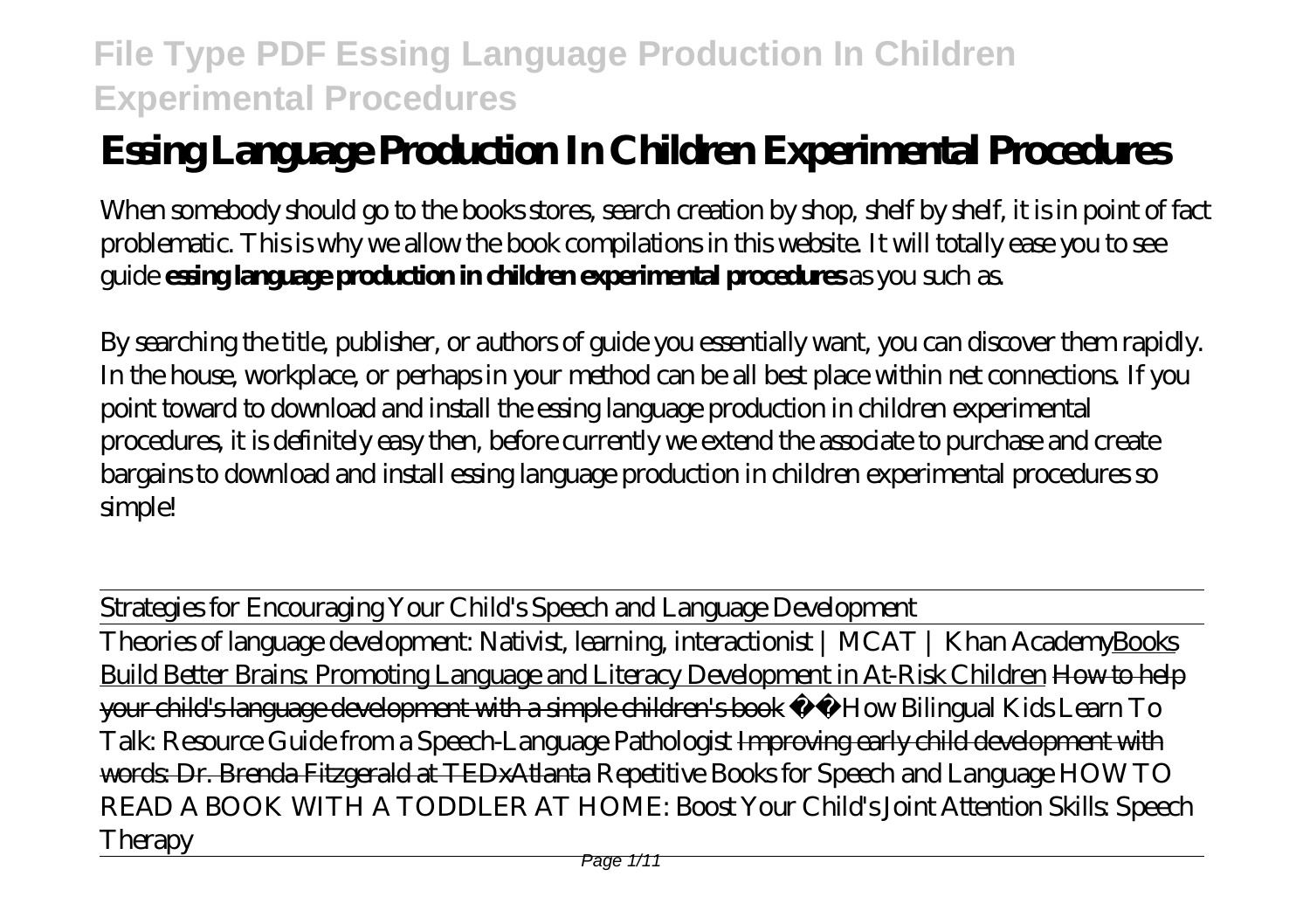# **Essing Language Production In Children Experimental Procedures**

When somebody should go to the books stores, search creation by shop, shelf by shelf, it is in point of fact problematic. This is why we allow the book compilations in this website. It will totally ease you to see guide **essing language production in children experimental procedures** as you such as.

By searching the title, publisher, or authors of guide you essentially want, you can discover them rapidly. In the house, workplace, or perhaps in your method can be all best place within net connections. If you point toward to download and install the essing language production in children experimental procedures, it is definitely easy then, before currently we extend the associate to purchase and create bargains to download and install essing language production in children experimental procedures so simple!

Strategies for Encouraging Your Child's Speech and Language Development

Theories of language development: Nativist, learning, interactionist | MCAT | Khan AcademyBooks Build Better Brains: Promoting Language and Literacy Development in At-Risk Children How to help your child's language development with a simple children's book *☀️How Bilingual Kids Learn To Talk: Resource Guide from a Speech-Language Pathologist* Improving early child development with words: Dr. Brenda Fitzgerald at TEDxAtlanta *Repetitive Books for Speech and Language HOW TO READ A BOOK WITH A TODDLER AT HOME: Boost Your Child's Joint Attention Skills: Speech Therapy*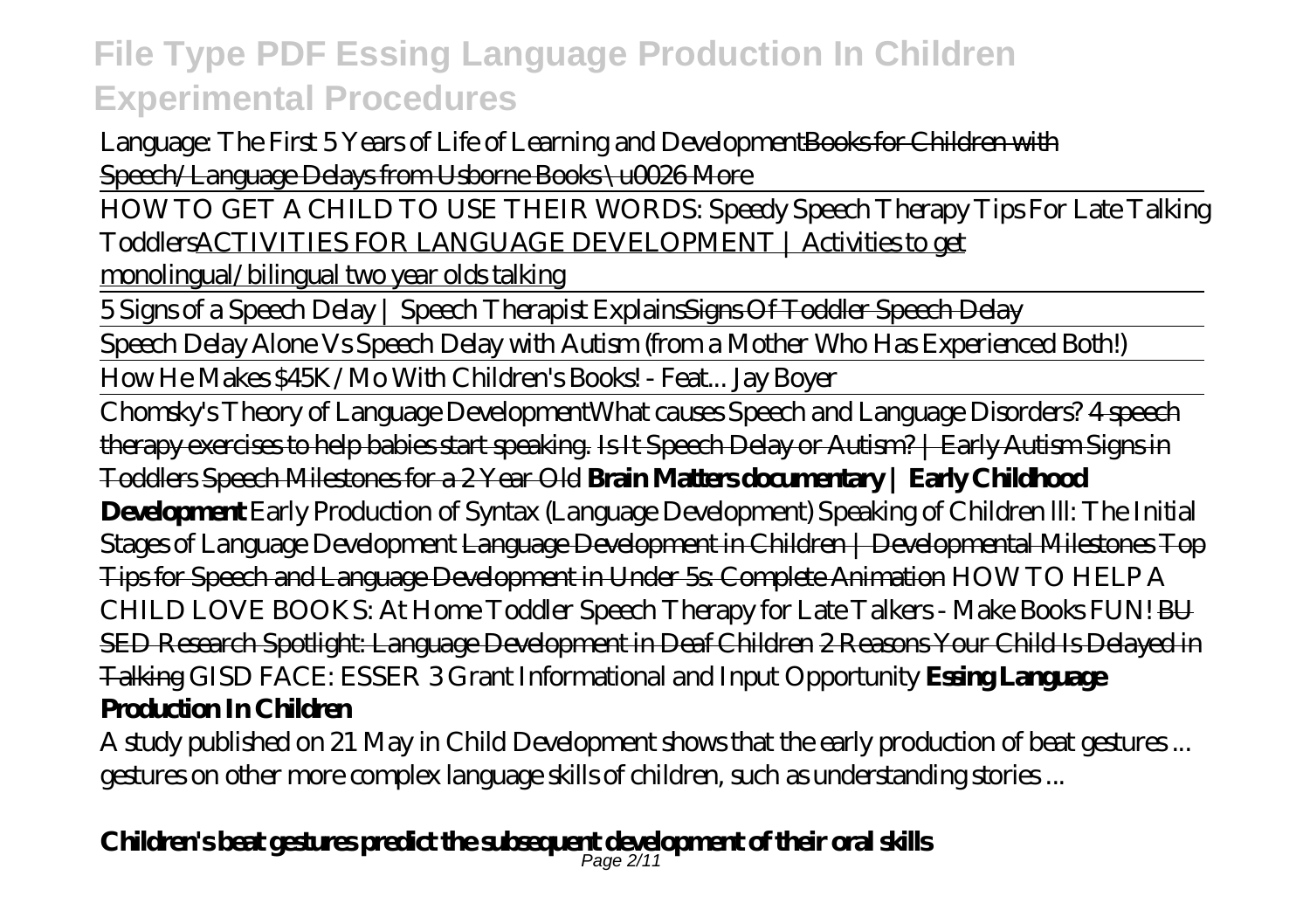Language: The First 5 Years of Life of Learning and DevelopmentBooks for Children with Speech/Language Delays from Usborne Books \u0026 More

HOW TO GET A CHILD TO USE THEIR WORDS: Speedy Speech Therapy Tips For Late Talking ToddlersACTIVITIES FOR LANGUAGE DEVELOPMENT | Activities to get

monolingual/bilingual two year olds talking

5 Signs of a Speech Delay | Speech Therapist ExplainsSigns Of Toddler Speech Delay

Speech Delay Alone Vs Speech Delay with Autism (from a Mother Who Has Experienced Both!)

How He Makes \$45K/Mo With Children's Books! - Feat... Jay Boyer

Chomsky's Theory of Language Development*What causes Speech and Language Disorders?* 4 speech therapy exercises to help babies start speaking. Is It Speech Delay or Autism? | Early Autism Signs in Toddlers Speech Milestones for a 2 Year Old **Brain Matters documentary | Early Childhood Development** *Early Production of Syntax (Language Development) Speaking of Children lll: The Initial Stages of Language Development* Language Development in Children | Developmental Milestones Top Tips for Speech and Language Development in Under 5s: Complete Animation *HOW TO HELP A CHILD LOVE BOOKS: At Home Toddler Speech Therapy for Late Talkers - Make Books FUN!* BU SED Research Spotlight: Language Development in Deaf Children 2 Reasons Your Child Is Delayed in Talking *GISD FACE: ESSER 3 Grant Informational and Input Opportunity* **Essing Language Production In Children**

A study published on 21 May in Child Development shows that the early production of beat gestures ... gestures on other more complex language skills of children, such as understanding stories ...

# **Children's beat gestures predict the subsequent development of their oral skills** Page 2/11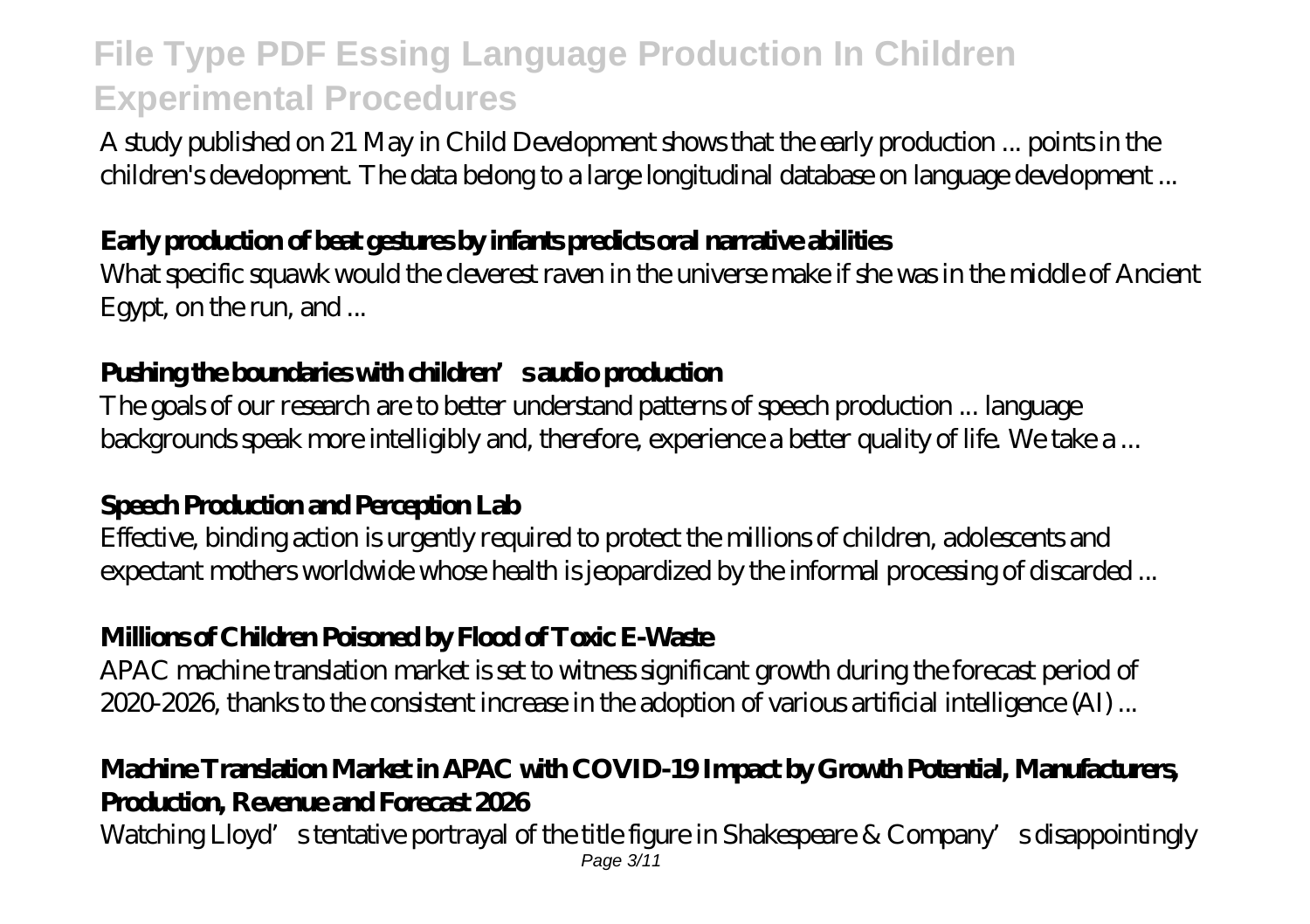A study published on 21 May in Child Development shows that the early production ... points in the children's development. The data belong to a large longitudinal database on language development ...

#### **Early production of beat gestures by infants predicts oral narrative abilities**

What specific squawk would the cleverest raven in the universe make if she was in the middle of Ancient Egypt, on the run, and ...

#### **Pushing the boundaries with children's audio production**

The goals of our research are to better understand patterns of speech production ... language backgrounds speak more intelligibly and, therefore, experience a better quality of life. We take a ...

### **Speech Production and Perception Lab**

Effective, binding action is urgently required to protect the millions of children, adolescents and expectant mothers worldwide whose health is jeopardized by the informal processing of discarded ...

### **Millions of Children Poisoned by Flood of Toxic E-Waste**

APAC machine translation market is set to witness significant growth during the forecast period of 2020-2026, thanks to the consistent increase in the adoption of various artificial intelligence (AI) ...

### **Machine Translation Market in APAC with COVID-19 Impact by Growth Potential, Manufacturers, Production, Revenue and Forecast 2026**

Watching Lloyd's tentative portrayal of the title figure in Shakespeare & Company's disappointingly Page 3/11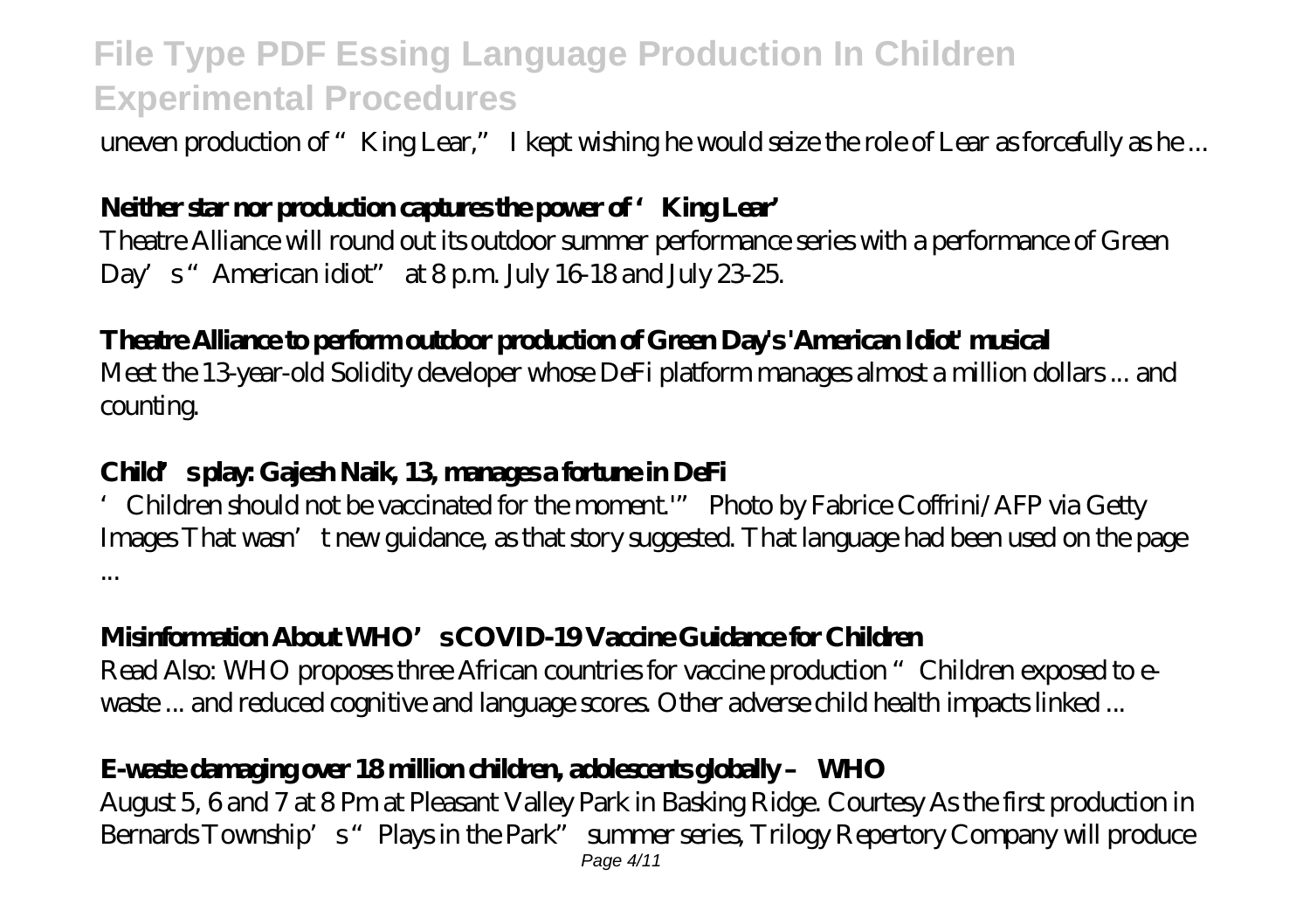uneven production of "King Lear," I kept wishing he would seize the role of Lear as forcefully as he...

### **Neither star nor production captures the power of 'King Lear'**

Theatre Alliance will round out its outdoor summer performance series with a performance of Green Day's "American idiot" at  $8 \text{p}$ m. July 16-18 and July  $23.25$ .

#### **Theatre Alliance to perform outdoor production of Green Day's 'American Idiot' musical**

Meet the 13-year-old Solidity developer whose DeFi platform manages almost a million dollars ... and counting.

#### **Child's play: Gajesh Naik, 13, manages a fortune in DeFi**

'Children should not be vaccinated for the moment.'" Photo by Fabrice Coffrini/AFP via Getty Images That wasn't new guidance, as that story suggested. That language had been used on the page ...

#### **Misinformation About WHO's COVID-19 Vaccine Guidance for Children**

Read Also: WHO proposes three African countries for vaccine production "Children exposed to ewaste ... and reduced cognitive and language scores. Other adverse child health impacts linked ...

### **E-waste damaging over 18 million children, adolescents globally – WHO**

August 5, 6 and 7 at 8 Pm at Pleasant Valley Park in Basking Ridge. Courtesy As the first production in Bernards Township's "Plays in the Park" summer series, Trilogy Repertory Company will produce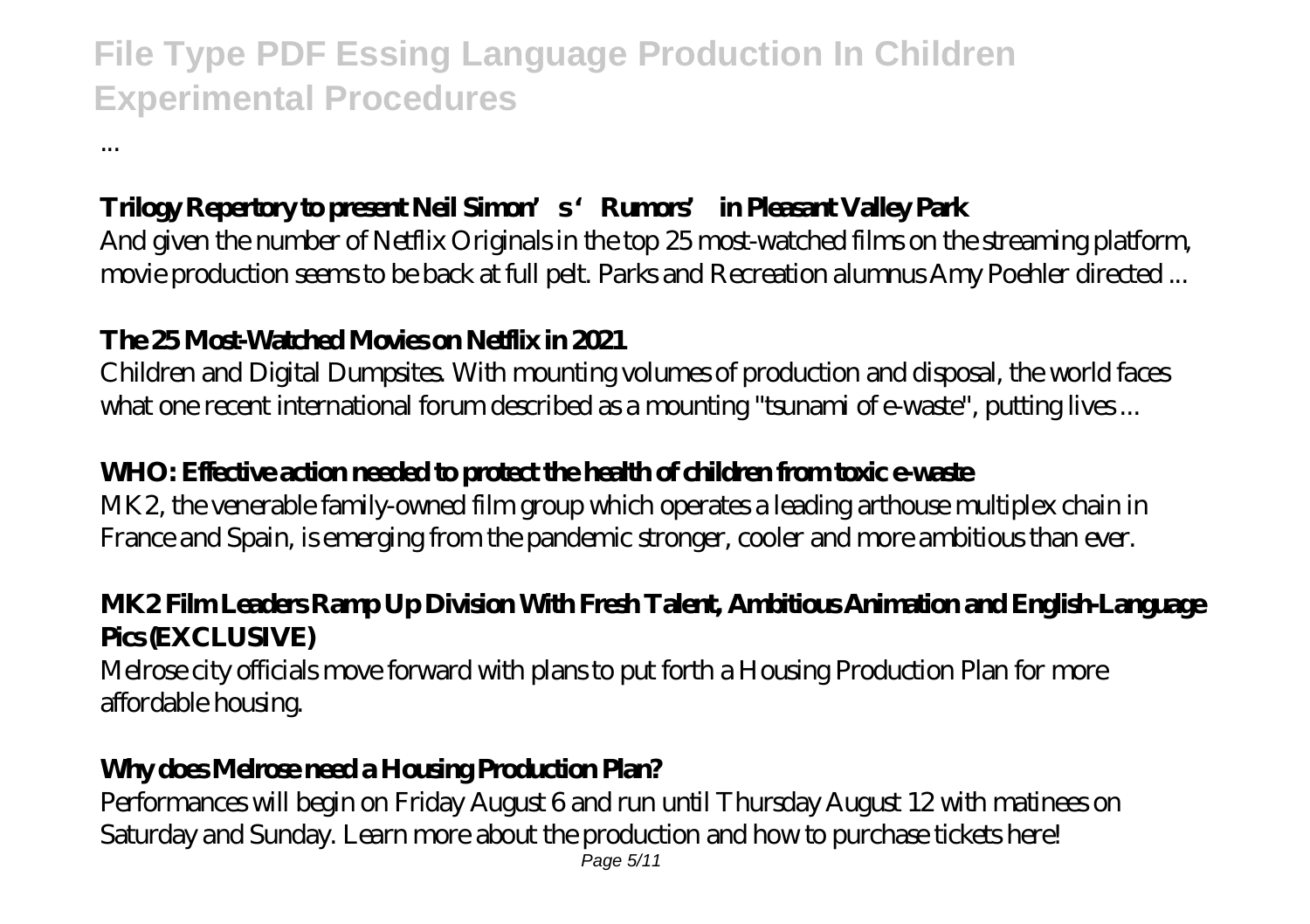#### **Trilogy Repertory to present Neil Simon's 'Rumors' in Pleasant Valley Park**

And given the number of Netflix Originals in the top 25 most-watched films on the streaming platform, movie production seems to be back at full pelt. Parks and Recreation alumnus Amy Poehler directed ...

#### **The 25 Most-Watched Movies on Netflix in 2021**

...

Children and Digital Dumpsites. With mounting volumes of production and disposal, the world faces what one recent international forum described as a mounting "tsunami of e-waste", putting lives...

#### **WHO: Effective action needed to protect the health of children from toxic e-waste**

MK2, the venerable family-owned film group which operates a leading arthouse multiplex chain in France and Spain, is emerging from the pandemic stronger, cooler and more ambitious than ever.

#### **MK2 Film Leaders Ramp Up Division With Fresh Talent, Ambitious Animation and English-Language Pics (EXCLUSIVE)**

Melrose city officials move forward with plans to put forth a Housing Production Plan for more affordable housing.

#### **Why does Melrose need a Housing Production Plan?**

Performances will begin on Friday August 6 and run until Thursday August 12 with matinees on Saturday and Sunday. Learn more about the production and how to purchase tickets here!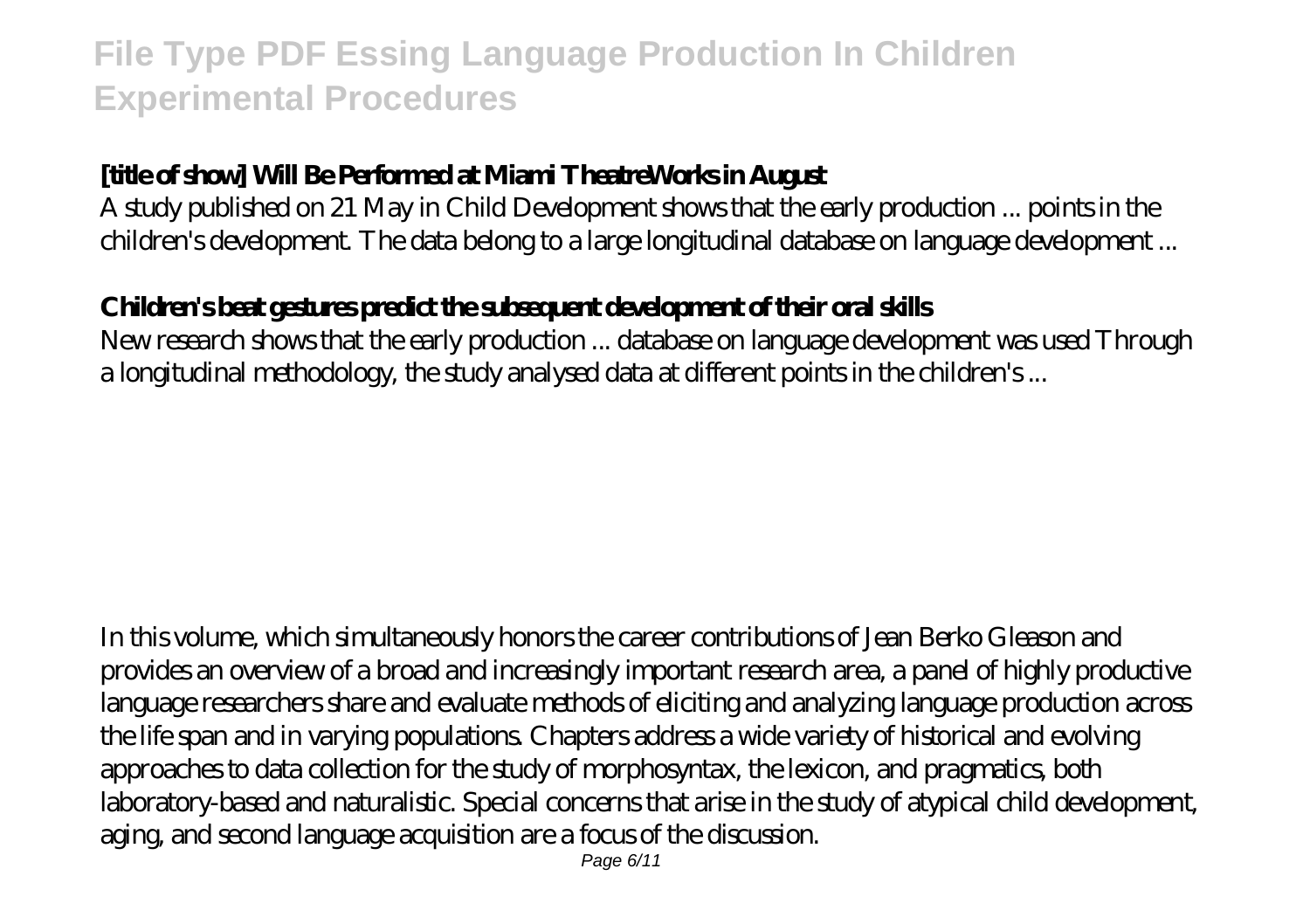#### **[title of show] Will Be Performed at Miami TheatreWorks in August**

A study published on 21 May in Child Development shows that the early production ... points in the children's development. The data belong to a large longitudinal database on language development ...

### **Children's beat gestures predict the subsequent development of their oral skills**

New research shows that the early production ... database on language development was used Through a longitudinal methodology, the study analysed data at different points in the children's ...

In this volume, which simultaneously honors the career contributions of Jean Berko Gleason and provides an overview of a broad and increasingly important research area, a panel of highly productive language researchers share and evaluate methods of eliciting and analyzing language production across the life span and in varying populations. Chapters address a wide variety of historical and evolving approaches to data collection for the study of morphosyntax, the lexicon, and pragmatics, both laboratory-based and naturalistic. Special concerns that arise in the study of atypical child development, aging, and second language acquisition are a focus of the discussion.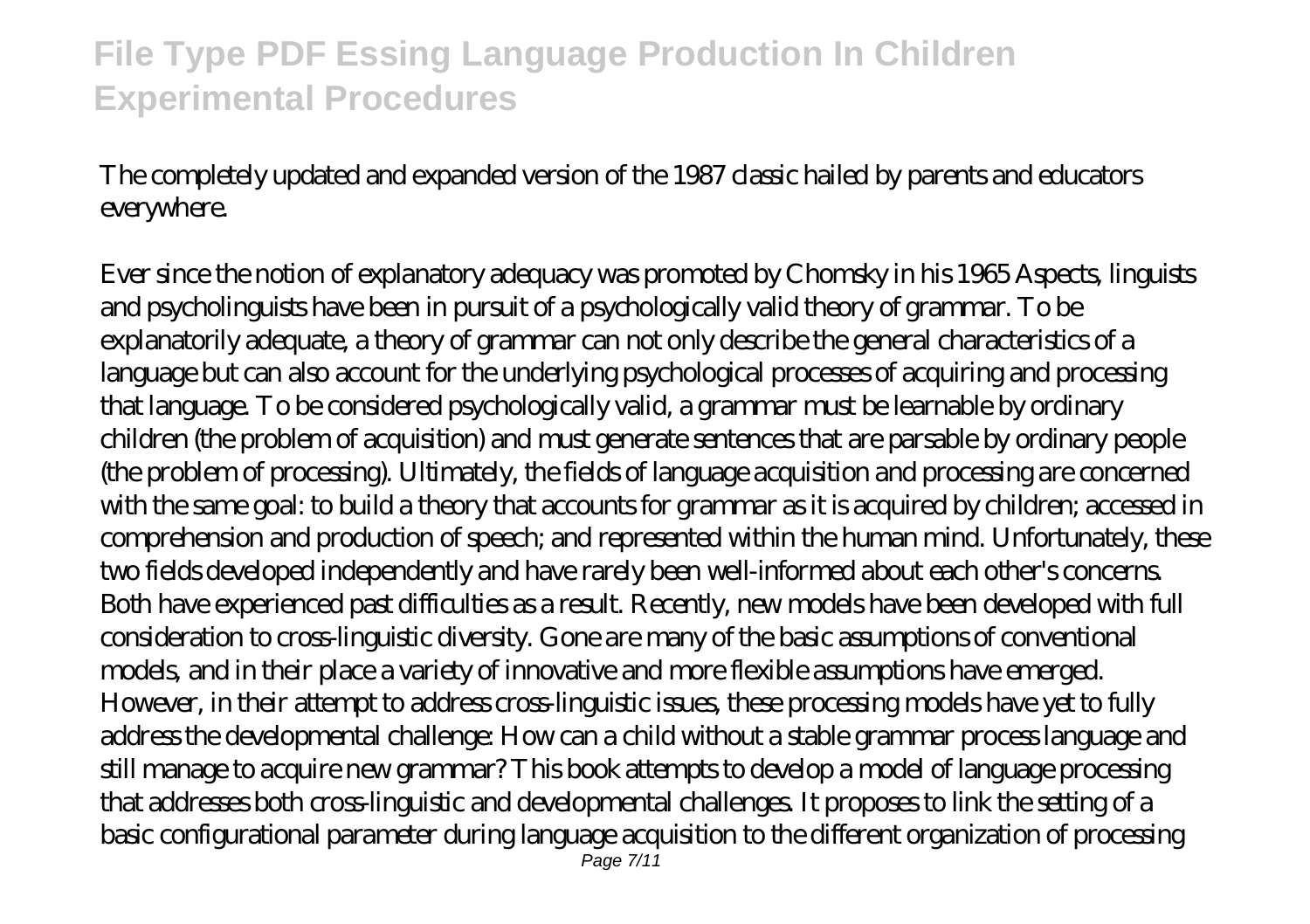The completely updated and expanded version of the 1987 classic hailed by parents and educators everywhere.

Ever since the notion of explanatory adequacy was promoted by Chomsky in his 1965 Aspects, linguists and psycholinguists have been in pursuit of a psychologically valid theory of grammar. To be explanatorily adequate, a theory of grammar can not only describe the general characteristics of a language but can also account for the underlying psychological processes of acquiring and processing that language. To be considered psychologically valid, a grammar must be learnable by ordinary children (the problem of acquisition) and must generate sentences that are parsable by ordinary people (the problem of processing). Ultimately, the fields of language acquisition and processing are concerned with the same goal: to build a theory that accounts for grammar as it is acquired by children; accessed in comprehension and production of speech; and represented within the human mind. Unfortunately, these two fields developed independently and have rarely been well-informed about each other's concerns. Both have experienced past difficulties as a result. Recently, new models have been developed with full consideration to cross-linguistic diversity. Gone are many of the basic assumptions of conventional models, and in their place a variety of innovative and more flexible assumptions have emerged. However, in their attempt to address cross-linguistic issues, these processing models have yet to fully address the developmental challenge: How can a child without a stable grammar process language and still manage to acquire new grammar? This book attempts to develop a model of language processing that addresses both cross-linguistic and developmental challenges. It proposes to link the setting of a basic configurational parameter during language acquisition to the different organization of processing Page 7/11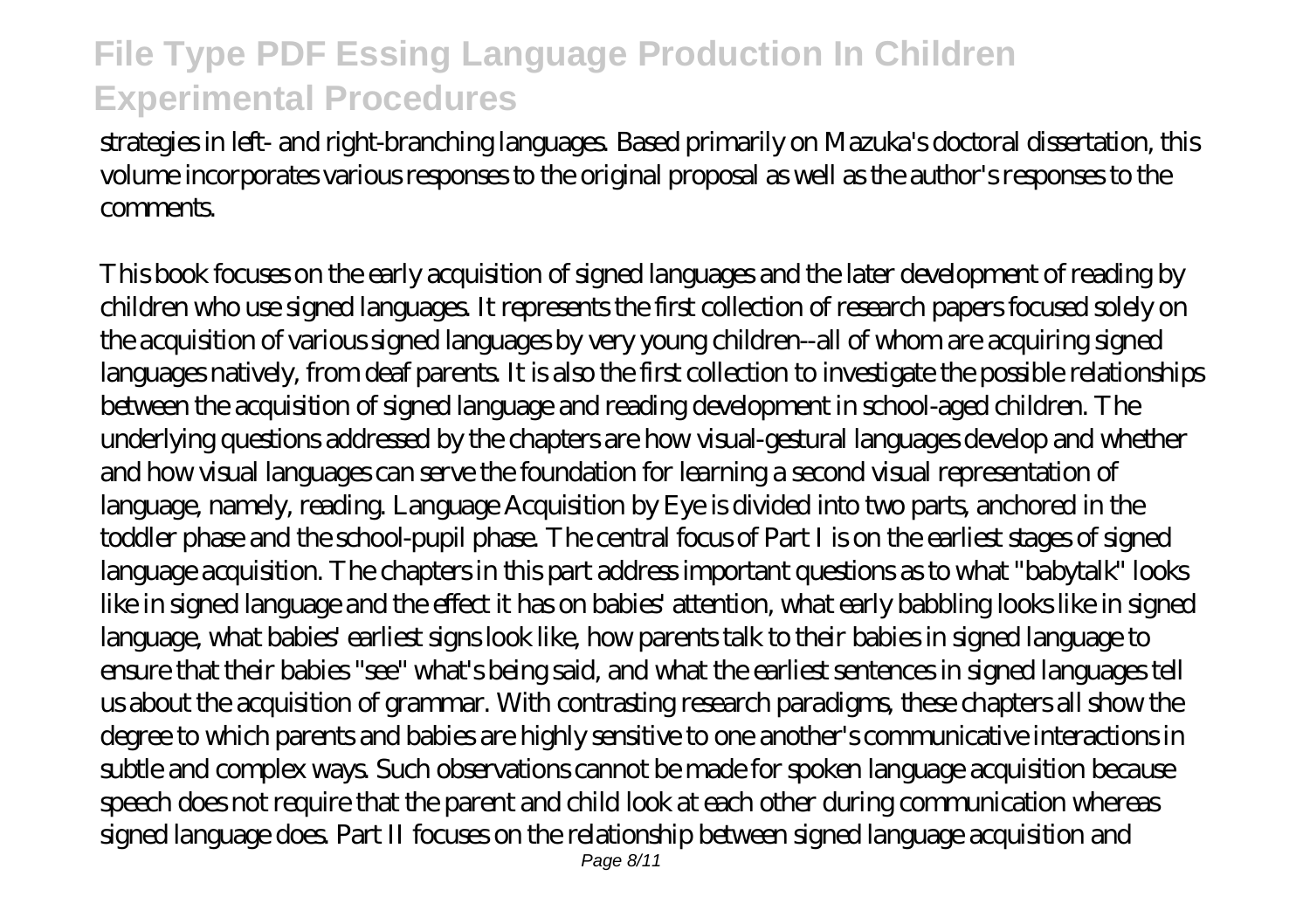strategies in left- and right-branching languages. Based primarily on Mazuka's doctoral dissertation, this volume incorporates various responses to the original proposal as well as the author's responses to the **comments** 

This book focuses on the early acquisition of signed languages and the later development of reading by children who use signed languages. It represents the first collection of research papers focused solely on the acquisition of various signed languages by very young children--all of whom are acquiring signed languages natively, from deaf parents. It is also the first collection to investigate the possible relationships between the acquisition of signed language and reading development in school-aged children. The underlying questions addressed by the chapters are how visual-gestural languages develop and whether and how visual languages can serve the foundation for learning a second visual representation of language, namely, reading. Language Acquisition by Eye is divided into two parts, anchored in the toddler phase and the school-pupil phase. The central focus of Part I is on the earliest stages of signed language acquisition. The chapters in this part address important questions as to what "babytalk" looks like in signed language and the effect it has on babies' attention, what early babbling looks like in signed language, what babies' earliest signs look like, how parents talk to their babies in signed language to ensure that their babies "see" what's being said, and what the earliest sentences in signed languages tell us about the acquisition of grammar. With contrasting research paradigms, these chapters all show the degree to which parents and babies are highly sensitive to one another's communicative interactions in subtle and complex ways. Such observations cannot be made for spoken language acquisition because speech does not require that the parent and child look at each other during communication whereas signed language does. Part II focuses on the relationship between signed language acquisition and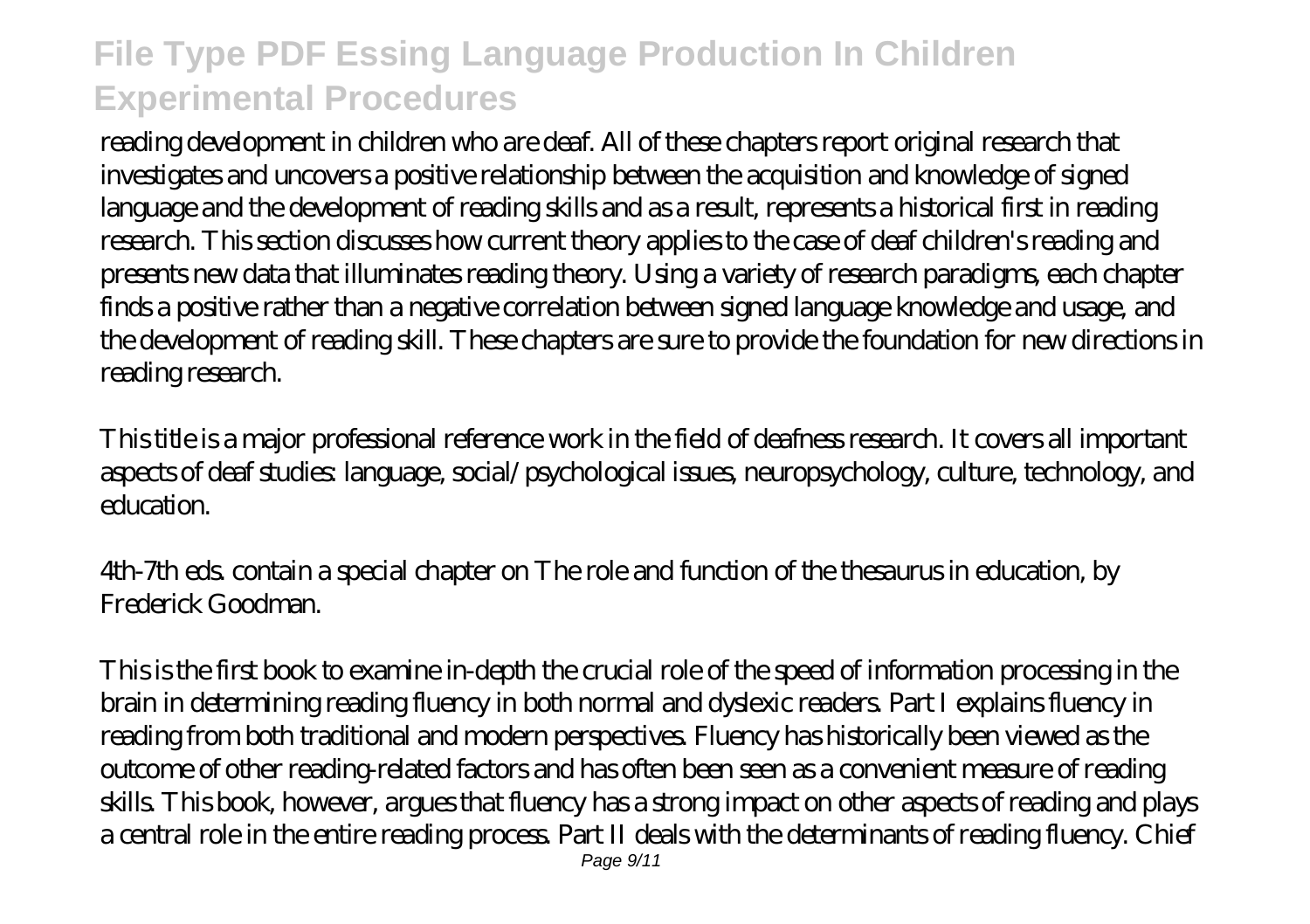reading development in children who are deaf. All of these chapters report original research that investigates and uncovers a positive relationship between the acquisition and knowledge of signed language and the development of reading skills and as a result, represents a historical first in reading research. This section discusses how current theory applies to the case of deaf children's reading and presents new data that illuminates reading theory. Using a variety of research paradigms, each chapter finds a positive rather than a negative correlation between signed language knowledge and usage, and the development of reading skill. These chapters are sure to provide the foundation for new directions in reading research.

This title is a major professional reference work in the field of deafness research. It covers all important aspects of deaf studies: language, social/psychological issues, neuropsychology, culture, technology, and education.

4th-7th eds. contain a special chapter on The role and function of the thesaurus in education, by Frederick Goodman.

This is the first book to examine in-depth the crucial role of the speed of information processing in the brain in determining reading fluency in both normal and dyslexic readers. Part I explains fluency in reading from both traditional and modern perspectives. Fluency has historically been viewed as the outcome of other reading-related factors and has often been seen as a convenient measure of reading skills. This book, however, argues that fluency has a strong impact on other aspects of reading and plays a central role in the entire reading process. Part II deals with the determinants of reading fluency. Chief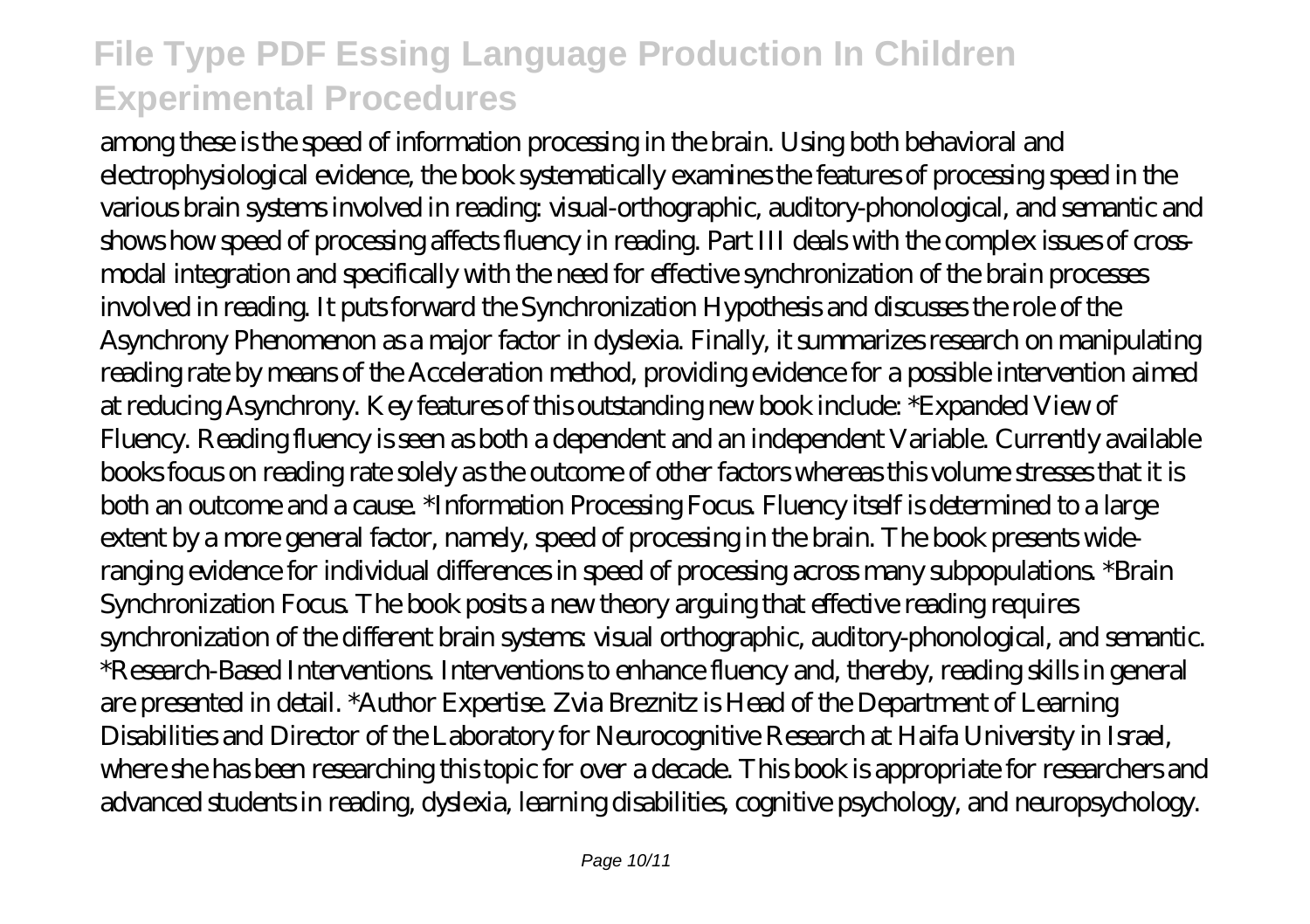among these is the speed of information processing in the brain. Using both behavioral and electrophysiological evidence, the book systematically examines the features of processing speed in the various brain systems involved in reading: visual-orthographic, auditory-phonological, and semantic and shows how speed of processing affects fluency in reading. Part III deals with the complex issues of crossmodal integration and specifically with the need for effective synchronization of the brain processes involved in reading. It puts forward the Synchronization Hypothesis and discusses the role of the Asynchrony Phenomenon as a major factor in dyslexia. Finally, it summarizes research on manipulating reading rate by means of the Acceleration method, providing evidence for a possible intervention aimed at reducing Asynchrony. Key features of this outstanding new book include: \*Expanded View of Fluency. Reading fluency is seen as both a dependent and an independent Variable. Currently available books focus on reading rate solely as the outcome of other factors whereas this volume stresses that it is both an outcome and a cause. \*Information Processing Focus. Fluency itself is determined to a large extent by a more general factor, namely, speed of processing in the brain. The book presents wideranging evidence for individual differences in speed of processing across many subpopulations. \*Brain Synchronization Focus. The book posits a new theory arguing that effective reading requires synchronization of the different brain systems: visual orthographic, auditory-phonological, and semantic. \*Research-Based Interventions. Interventions to enhance fluency and, thereby, reading skills in general are presented in detail. \*Author Expertise. Zvia Breznitz is Head of the Department of Learning Disabilities and Director of the Laboratory for Neurocognitive Research at Haifa University in Israel, where she has been researching this topic for over a decade. This book is appropriate for researchers and advanced students in reading, dyslexia, learning disabilities, cognitive psychology, and neuropsychology.